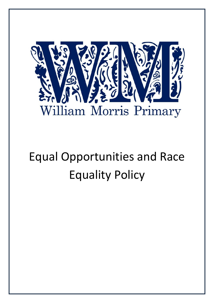

# Equal Opportunities and Race Equality Policy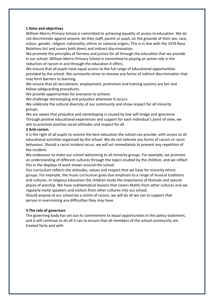## **1 Aims and objectives**

William Morris Primary School is committed to achieving equality of access to education. We do not discriminate against anyone, be they staff, parent or pupil, on the grounds of their sex, race, colour, gender, religion, nationality, ethnic or national origins. This is in line with the 1976 Race Relations Act and covers both direct and indirect discrimination.

We promote the principles of fairness and justice for all through the education that we provide in our school. William Morris Primary School is committed to playing an active role in the reduction of racism in and through the education it offers.

We ensure that all pupils have equal access to the full range of educational opportunities provided by the school. We constantly strive to remove any forms of indirect discrimination that may form barriers to learning.

We ensure that all recruitment, employment, promotion and training systems are fair and follow safeguarding procedures.

We provide opportunities for everyone to achieve.

We challenge stereotyping and prejudice whenever it occurs.

We celebrate the cultural diversity of our community and show respect for all minority groups.

We are aware that prejudice and stereotyping is caused by low self-image and ignorance. Through positive educational experiences and support for each individual's point of view, we aim to promote positive social attitudes and respect for all.

## **2 Anti-racism**

It is the right of all pupils to receive the best education the school can provide, with access to all educational activities organised by the school. We do not tolerate any forms of racism or racist behaviour. Should a racist incident occur, we will act immediately to prevent any repetition of the incident.

We endeavour to make our school welcoming to all minority groups. For example, we promote an understanding of different cultures through the topics studied by the children, and we reflect this in the displays of work shown around the school.

Our curriculum reflects the attitudes, values and respect that we have for minority ethnic groups. For example, the music curriculum gives due emphasis to a range of musical traditions and cultures. In religious education the children study the importance of festivals and special places of worship. We have mathematical lessons that covers Maths from other cultures and we regularly invite speakers and visitors from other cultures into our school.

Should anyone at our school be a victim of racism, we will do all we can to support that person in overcoming any difficulties they may have.

# **3 The role of governors**

The governing body has set out its commitment to equal opportunities in this policy statement, and it will continue to do all it can to ensure that all members of the school community are treated fairly and with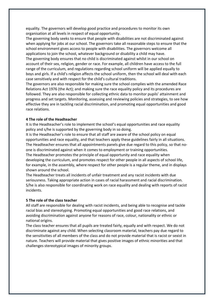equality. The governors will develop good practice and procedures to monitor its own organisation at all levels in respect of equal opportunity.

The governing body seeks to ensure that people with disabilities are not discriminated against when applying for jobs at our school. The governors take all reasonable steps to ensure that the school environment gives access to people with disabilities. The governors welcome all applications to join the school, whatever background or disability a child may have.

The governing body ensures that no child is discriminated against whilst in our school on account of their sex, religion, gender or race. For example, all children have access to the full range of the curriculum, and regulations regarding school uniform will be applied equally to boys and girls. If a child's religion affects the school uniform, then the school will deal with each case sensitively and with respect for the child's cultural traditions.

The governors are also responsible for making sure the school complies with the amended Race Relations Act 1976 (the Act); and making sure the race equality policy and its procedures are followed. They are also responsible for collecting ethnic data to monitor pupils' attainment and progress and set targets. Monitoring, assessing and reviewing policies and strategies, to see how effective they are in tackling racial discrimination, and promoting equal opportunities and good race relations.

#### **4 The role of the Headteacher**

It is the Headteacher's role to implement the school's equal opportunities and race equality policy and s/he is supported by the governing body in so doing.

It is the Headteacher's role to ensure that all staff are aware of the school policy on equal opportunities and race equality, and that teachers apply these guidelines fairly in all situations. The Headteacher ensures that all appointments panels give due regard to this policy, so that noone is discriminated against when it comes to employment or training opportunities. The Headteacher promotes the principle of equal opportunity and race equality when developing the curriculum, and promotes respect for other people in all aspects of school life, for example, in the assembly, where respect for other people is a regular theme, and in displays shown around the school.

The Headteacher treats all incidents of unfair treatment and any racist incidents with due seriousness. Taking appropriate action in cases of racial harassment and racial discrimination. S/he is also responsible for coordinating work on race equality and dealing with reports of racist incidents.

#### **5 The role of the class teacher**

All staff are responsible for dealing with racist incidents, and being able to recognise and tackle racial bias and stereotyping. Promoting equal opportunities and good race relations, and avoiding discrimination against anyone for reasons of race, colour, nationality or ethnic or national origins.

The class teacher ensures that all pupils are treated fairly, equally and with respect. We do not discriminate against any child. When selecting classroom material, teachers pay due regard to the sensitivities of all members of the class and do not provide material that is racist or sexist in nature. Teachers will provide material that gives positive images of ethnic minorities and that challenges stereotypical images of minority groups.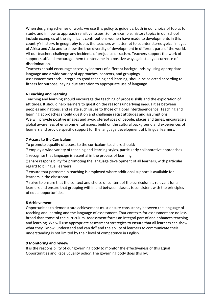When designing schemes of work, we use this policy to guide us, both in our choice of topics to study, and in how to approach sensitive issues. So, for example, history topics in our school include examples of the significant contributions women have made to developments in this country's history. In geography topics the teachers will attempt to counter stereotypical images of Africa and Asia and to show the true diversity of development in different parts of the world. All our teachers challenge any incidents of prejudice or racism. Teachers support the work of support staff and encourage them to intervene in a positive way against any occurrence of discrimination.

Teachers should encourage access by learners of different backgrounds by using appropriate language and a wide variety of approaches, contexts, and groupings.

Assessment methods, integral to good teaching and learning, should be selected according to fitness for purpose, paying due attention to appropriate use of language.

#### **6 Teaching and Learning**

Teaching and learning should encourage the teaching of process skills and the exploration of attitudes. It should help learners to question the reasons underlying inequalities between peoples and nations, and relate such issues to those of global interdependence. Teaching and learning approaches should question and challenge racist attitudes and assumptions. We will provide positive images and avoid stereotypes of people, places and times, encourage a global awareness of environmental issues, build on the cultural background and experiences of learners and provide specific support for the language development of bilingual learners.

#### **7 Access to the Curriculum**

To promote equality of access to the curriculum teachers should:

employ a wide variety of teaching and learning styles, particularly collaborative approaches **D** recognise that language is essential in the process of learning

share responsibility for promoting the language development of all learners, with particular regard to bilingual learners

 $\mathbb D$  ensure that partnership teaching is employed where additional support is available for learners in the classroom

 $\mathbb D$  strive to ensure that the context and choice of content of the curriculum is relevant for all learners and ensure that grouping within and between classes is consistent with the principles of equal opportunities.

#### **8 Achievement**

Opportunities to demonstrate achievement must ensure consistency between the language of teaching and learning and the language of assessment. That contexts for assessment are no less broad than those of the curriculum. Assessment forms an integral part of and enhances teaching and learning. We will use appropriate assessment strategies to ensure that all learners can show what they "know, understand and can do" and the ability of learners to communicate their understanding is not limited by their level of competence in English.

#### **9 Monitoring and review**

It is the responsibility of our governing body to monitor the effectiveness of this Equal Opportunities and Race Equality policy. The governing body does this by: